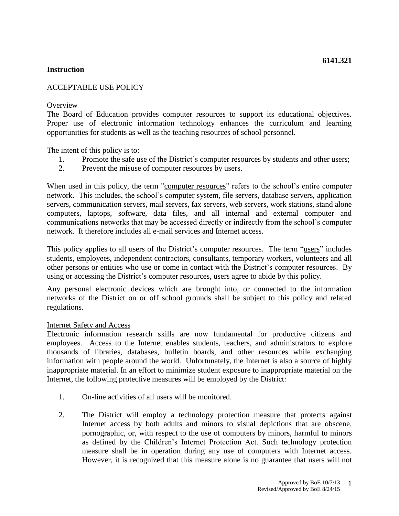### **Instruction**

# ACCEPTABLE USE POLICY

### **Overview**

The Board of Education provides computer resources to support its educational objectives. Proper use of electronic information technology enhances the curriculum and learning opportunities for students as well as the teaching resources of school personnel.

The intent of this policy is to:

- 1. Promote the safe use of the District's computer resources by students and other users;
- 2. Prevent the misuse of computer resources by users.

When used in this policy, the term "computer resources" refers to the school's entire computer network. This includes, the school's computer system, file servers, database servers, application servers, communication servers, mail servers, fax servers, web servers, work stations, stand alone computers, laptops, software, data files, and all internal and external computer and communications networks that may be accessed directly or indirectly from the school's computer network. It therefore includes all e-mail services and Internet access.

This policy applies to all users of the District's computer resources. The term "users" includes students, employees, independent contractors, consultants, temporary workers, volunteers and all other persons or entities who use or come in contact with the District's computer resources. By using or accessing the District's computer resources, users agree to abide by this policy.

Any personal electronic devices which are brought into, or connected to the information networks of the District on or off school grounds shall be subject to this policy and related regulations.

### Internet Safety and Access

Electronic information research skills are now fundamental for productive citizens and employees. Access to the Internet enables students, teachers, and administrators to explore thousands of libraries, databases, bulletin boards, and other resources while exchanging information with people around the world. Unfortunately, the Internet is also a source of highly inappropriate material. In an effort to minimize student exposure to inappropriate material on the Internet, the following protective measures will be employed by the District:

- 1. On-line activities of all users will be monitored.
- 2. The District will employ a technology protection measure that protects against Internet access by both adults and minors to visual depictions that are obscene, pornographic, or, with respect to the use of computers by minors, harmful to minors as defined by the Children's Internet Protection Act. Such technology protection measure shall be in operation during any use of computers with Internet access. However, it is recognized that this measure alone is no guarantee that users will not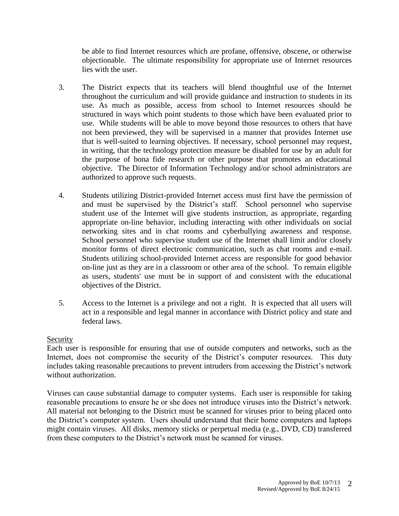be able to find Internet resources which are profane, offensive, obscene, or otherwise objectionable. The ultimate responsibility for appropriate use of Internet resources lies with the user.

- 3. The District expects that its teachers will blend thoughtful use of the Internet throughout the curriculum and will provide guidance and instruction to students in its use. As much as possible, access from school to Internet resources should be structured in ways which point students to those which have been evaluated prior to use. While students will be able to move beyond those resources to others that have not been previewed, they will be supervised in a manner that provides Internet use that is well-suited to learning objectives. If necessary, school personnel may request, in writing, that the technology protection measure be disabled for use by an adult for the purpose of bona fide research or other purpose that promotes an educational objective. The Director of Information Technology and/or school administrators are authorized to approve such requests.
- 4. Students utilizing District-provided Internet access must first have the permission of and must be supervised by the District's staff. School personnel who supervise student use of the Internet will give students instruction, as appropriate, regarding appropriate on-line behavior, including interacting with other individuals on social networking sites and in chat rooms and cyberbullying awareness and response. School personnel who supervise student use of the Internet shall limit and/or closely monitor forms of direct electronic communication, such as chat rooms and e-mail. Students utilizing school-provided Internet access are responsible for good behavior on-line just as they are in a classroom or other area of the school. To remain eligible as users, students' use must be in support of and consistent with the educational objectives of the District.
- 5. Access to the Internet is a privilege and not a right. It is expected that all users will act in a responsible and legal manner in accordance with District policy and state and federal laws.

## Security

Each user is responsible for ensuring that use of outside computers and networks, such as the Internet, does not compromise the security of the District's computer resources. This duty includes taking reasonable precautions to prevent intruders from accessing the District's network without authorization.

Viruses can cause substantial damage to computer systems. Each user is responsible for taking reasonable precautions to ensure he or she does not introduce viruses into the District's network. All material not belonging to the District must be scanned for viruses prior to being placed onto the District's computer system. Users should understand that their home computers and laptops might contain viruses. All disks, memory sticks or perpetual media (e.g., DVD, CD) transferred from these computers to the District's network must be scanned for viruses.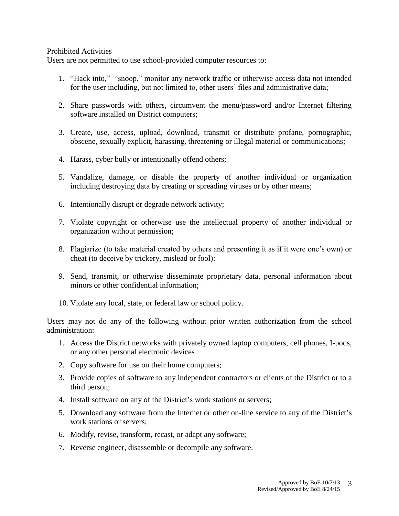### Prohibited Activities

Users are not permitted to use school-provided computer resources to:

- 1. "Hack into," "snoop," monitor any network traffic or otherwise access data not intended for the user including, but not limited to, other users' files and administrative data;
- 2. Share passwords with others, circumvent the menu/password and/or Internet filtering software installed on District computers;
- 3. Create, use, access, upload, download, transmit or distribute profane, pornographic, obscene, sexually explicit, harassing, threatening or illegal material or communications;
- 4. Harass, cyber bully or intentionally offend others;
- 5. Vandalize, damage, or disable the property of another individual or organization including destroying data by creating or spreading viruses or by other means;
- 6. Intentionally disrupt or degrade network activity;
- 7. Violate copyright or otherwise use the intellectual property of another individual or organization without permission;
- 8. Plagiarize (to take material created by others and presenting it as if it were one's own) or cheat (to deceive by trickery, mislead or fool):
- 9. Send, transmit, or otherwise disseminate proprietary data, personal information about minors or other confidential information;
- 10. Violate any local, state, or federal law or school policy.

Users may not do any of the following without prior written authorization from the school administration:

- 1. Access the District networks with privately owned laptop computers, cell phones, I-pods, or any other personal electronic devices
- 2. Copy software for use on their home computers;
- 3. Provide copies of software to any independent contractors or clients of the District or to a third person;
- 4. Install software on any of the District's work stations or servers;
- 5. Download any software from the Internet or other on-line service to any of the District's work stations or servers;
- 6. Modify, revise, transform, recast, or adapt any software;
- 7. Reverse engineer, disassemble or decompile any software.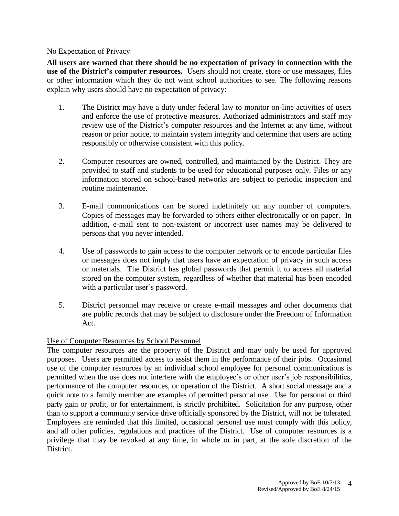### No Expectation of Privacy

**All users are warned that there should be no expectation of privacy in connection with the use of the District's computer resources.** Users should not create, store or use messages, files or other information which they do not want school authorities to see. The following reasons explain why users should have no expectation of privacy:

- 1. The District may have a duty under federal law to monitor on-line activities of users and enforce the use of protective measures. Authorized administrators and staff may review use of the District's computer resources and the Internet at any time, without reason or prior notice, to maintain system integrity and determine that users are acting responsibly or otherwise consistent with this policy.
- 2. Computer resources are owned, controlled, and maintained by the District. They are provided to staff and students to be used for educational purposes only. Files or any information stored on school-based networks are subject to periodic inspection and routine maintenance.
- 3. E-mail communications can be stored indefinitely on any number of computers. Copies of messages may be forwarded to others either electronically or on paper. In addition, e-mail sent to non-existent or incorrect user names may be delivered to persons that you never intended.
- 4. Use of passwords to gain access to the computer network or to encode particular files or messages does not imply that users have an expectation of privacy in such access or materials. The District has global passwords that permit it to access all material stored on the computer system, regardless of whether that material has been encoded with a particular user's password.
- 5. District personnel may receive or create e-mail messages and other documents that are public records that may be subject to disclosure under the Freedom of Information Act.

## Use of Computer Resources by School Personnel

The computer resources are the property of the District and may only be used for approved purposes. Users are permitted access to assist them in the performance of their jobs. Occasional use of the computer resources by an individual school employee for personal communications is permitted when the use does not interfere with the employee's or other user's job responsibilities, performance of the computer resources, or operation of the District. A short social message and a quick note to a family member are examples of permitted personal use. Use for personal or third party gain or profit, or for entertainment, is strictly prohibited. Solicitation for any purpose, other than to support a community service drive officially sponsored by the District, will not be tolerated. Employees are reminded that this limited, occasional personal use must comply with this policy, and all other policies, regulations and practices of the District. Use of computer resources is a privilege that may be revoked at any time, in whole or in part, at the sole discretion of the District.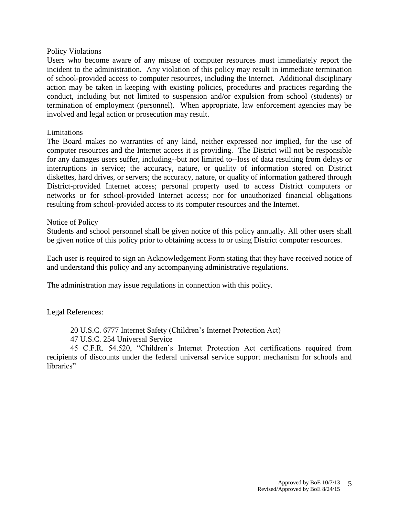#### Policy Violations

Users who become aware of any misuse of computer resources must immediately report the incident to the administration. Any violation of this policy may result in immediate termination of school-provided access to computer resources, including the Internet. Additional disciplinary action may be taken in keeping with existing policies, procedures and practices regarding the conduct, including but not limited to suspension and/or expulsion from school (students) or termination of employment (personnel). When appropriate, law enforcement agencies may be involved and legal action or prosecution may result.

#### Limitations

The Board makes no warranties of any kind, neither expressed nor implied, for the use of computer resources and the Internet access it is providing. The District will not be responsible for any damages users suffer, including--but not limited to--loss of data resulting from delays or interruptions in service; the accuracy, nature, or quality of information stored on District diskettes, hard drives, or servers; the accuracy, nature, or quality of information gathered through District-provided Internet access; personal property used to access District computers or networks or for school-provided Internet access; nor for unauthorized financial obligations resulting from school-provided access to its computer resources and the Internet.

#### Notice of Policy

Students and school personnel shall be given notice of this policy annually. All other users shall be given notice of this policy prior to obtaining access to or using District computer resources.

Each user is required to sign an Acknowledgement Form stating that they have received notice of and understand this policy and any accompanying administrative regulations.

The administration may issue regulations in connection with this policy.

Legal References:

20 U.S.C. 6777 Internet Safety (Children's Internet Protection Act)

47 U.S.C. 254 Universal Service

45 C.F.R. 54.520, "Children's Internet Protection Act certifications required from recipients of discounts under the federal universal service support mechanism for schools and libraries"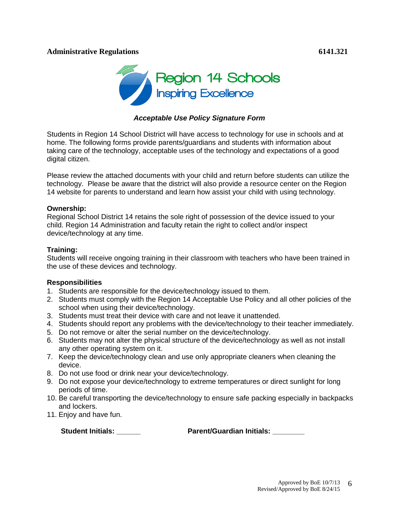### **Administrative Regulations 6141.321**



### *Acceptable Use Policy Signature Form*

Students in Region 14 School District will have access to technology for use in schools and at home. The following forms provide parents/guardians and students with information about taking care of the technology, acceptable uses of the technology and expectations of a good digital citizen.

Please review the attached documents with your child and return before students can utilize the technology. Please be aware that the district will also provide a resource center on the Region 14 website for parents to understand and learn how assist your child with using technology.

#### **Ownership:**

Regional School District 14 retains the sole right of possession of the device issued to your child. Region 14 Administration and faculty retain the right to collect and/or inspect device/technology at any time.

#### **Training:**

Students will receive ongoing training in their classroom with teachers who have been trained in the use of these devices and technology.

#### **Responsibilities**

- 1. Students are responsible for the device/technology issued to them.
- 2. Students must comply with the Region 14 Acceptable Use Policy and all other policies of the school when using their device/technology.
- 3. Students must treat their device with care and not leave it unattended.
- 4. Students should report any problems with the device/technology to their teacher immediately.
- 5. Do not remove or alter the serial number on the device/technology.
- 6. Students may not alter the physical structure of the device/technology as well as not install any other operating system on it.
- 7. Keep the device/technology clean and use only appropriate cleaners when cleaning the device.
- 8. Do not use food or drink near your device/technology.
- 9. Do not expose your device/technology to extreme temperatures or direct sunlight for long periods of time.
- 10. Be careful transporting the device/technology to ensure safe packing especially in backpacks and lockers.
- 11. Enjoy and have fun.

 **Student Initials: \_\_\_\_\_\_ Parent/Guardian Initials: \_\_\_\_\_\_\_\_**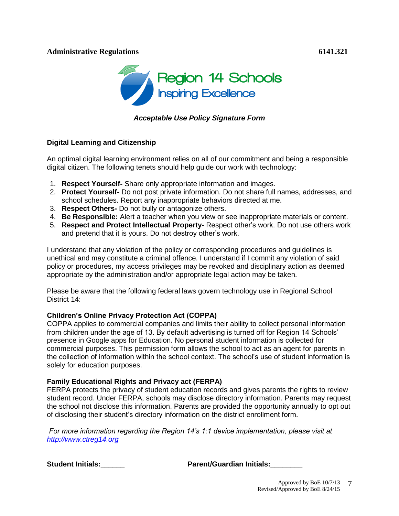### **Administrative Regulations 6141.321**



*Acceptable Use Policy Signature Form*

### **Digital Learning and Citizenship**

An optimal digital learning environment relies on all of our commitment and being a responsible digital citizen. The following tenets should help guide our work with technology:

- 1. **Respect Yourself-** Share only appropriate information and images.
- 2. **Protect Yourself-** Do not post private information. Do not share full names, addresses, and school schedules. Report any inappropriate behaviors directed at me.
- 3. **Respect Others-** Do not bully or antagonize others.
- 4. **Be Responsible:** Alert a teacher when you view or see inappropriate materials or content.
- 5. **Respect and Protect Intellectual Property-** Respect other's work. Do not use others work and pretend that it is yours. Do not destroy other's work.

I understand that any violation of the policy or corresponding procedures and guidelines is unethical and may constitute a criminal offence. I understand if I commit any violation of said policy or procedures, my access privileges may be revoked and disciplinary action as deemed appropriate by the administration and/or appropriate legal action may be taken.

Please be aware that the following federal laws govern technology use in Regional School District 14:

### **Children's Online Privacy Protection Act (COPPA)**

COPPA applies to commercial companies and limits their ability to collect personal information from children under the age of 13. By default advertising is turned off for Region 14 Schools' presence in Google apps for Education. No personal student information is collected for commercial purposes. This permission form allows the school to act as an agent for parents in the collection of information within the school context. The school's use of student information is solely for education purposes.

#### **Family Educational Rights and Privacy act (FERPA)**

FERPA protects the privacy of student education records and gives parents the rights to review student record. Under FERPA, schools may disclose directory information. Parents may request the school not disclose this information. Parents are provided the opportunity annually to opt out of disclosing their student's directory information on the district enrollment form.

*For more information regarding the Region 14's 1:1 device implementation, please visit at [http://www.ctreg14.org](http://www.ctreg14.org/)*

**Student Initials:\_\_\_\_\_\_ Parent/Guardian Initials:\_\_\_\_\_\_\_\_**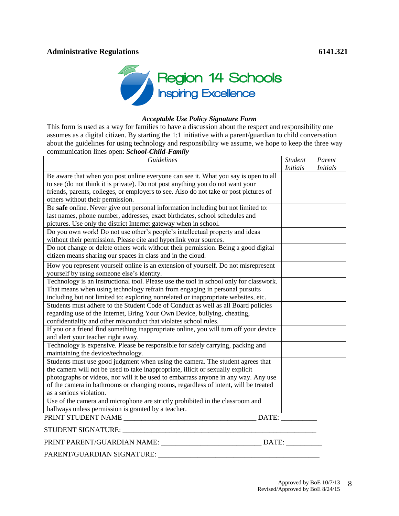

#### *Acceptable Use Policy Signature Form*

This form is used as a way for families to have a discussion about the respect and responsibility one assumes as a digital citizen. By starting the 1:1 initiative with a parent/guardian to child conversation about the guidelines for using technology and responsibility we assume, we hope to keep the three way communication lines open: *School-Child-Family*

| <b>Guidelines</b>                                                                                                     | <b>Student</b><br><b>Initials</b> | Parent<br><b>Initials</b> |
|-----------------------------------------------------------------------------------------------------------------------|-----------------------------------|---------------------------|
| Be aware that when you post online everyone can see it. What you say is open to all                                   |                                   |                           |
| to see (do not think it is private). Do not post anything you do not want your                                        |                                   |                           |
| friends, parents, colleges, or employers to see. Also do not take or post pictures of                                 |                                   |                           |
| others without their permission.                                                                                      |                                   |                           |
| Be safe online. Never give out personal information including but not limited to:                                     |                                   |                           |
| last names, phone number, addresses, exact birthdates, school schedules and                                           |                                   |                           |
| pictures. Use only the district Internet gateway when in school.                                                      |                                   |                           |
| Do you own work! Do not use other's people's intellectual property and ideas                                          |                                   |                           |
| without their permission. Please cite and hyperlink your sources.                                                     |                                   |                           |
| Do not change or delete others work without their permission. Being a good digital                                    |                                   |                           |
| citizen means sharing our spaces in class and in the cloud.                                                           |                                   |                           |
| How you represent yourself online is an extension of yourself. Do not misrepresent                                    |                                   |                           |
| yourself by using someone else's identity.                                                                            |                                   |                           |
| Technology is an instructional tool. Please use the tool in school only for classwork.                                |                                   |                           |
| That means when using technology refrain from engaging in personal pursuits                                           |                                   |                           |
| including but not limited to: exploring nonrelated or inappropriate websites, etc.                                    |                                   |                           |
| Students must adhere to the Student Code of Conduct as well as all Board policies                                     |                                   |                           |
| regarding use of the Internet, Bring Your Own Device, bullying, cheating,                                             |                                   |                           |
| confidentiality and other misconduct that violates school rules.                                                      |                                   |                           |
| If you or a friend find something inappropriate online, you will turn off your device                                 |                                   |                           |
| and alert your teacher right away.                                                                                    |                                   |                           |
| Technology is expensive. Please be responsible for safely carrying, packing and<br>maintaining the device/technology. |                                   |                           |
| Students must use good judgment when using the camera. The student agrees that                                        |                                   |                           |
| the camera will not be used to take inappropriate, illicit or sexually explicit                                       |                                   |                           |
| photographs or videos, nor will it be used to embarrass anyone in any way. Any use                                    |                                   |                           |
| of the camera in bathrooms or changing rooms, regardless of intent, will be treated                                   |                                   |                           |
| as a serious violation.                                                                                               |                                   |                           |
| Use of the camera and microphone are strictly prohibited in the classroom and                                         |                                   |                           |
| hallways unless permission is granted by a teacher.                                                                   |                                   |                           |
| DATE:<br>PRINT STUDENT NAME                                                                                           |                                   |                           |
| STUDENT SIGNATURE:                                                                                                    |                                   |                           |
| PRINT PARENT/GUARDIAN NAME:<br>DATE:                                                                                  |                                   |                           |

PARENT/GUARDIAN SIGNATURE: \_\_\_\_\_\_\_\_\_\_\_\_\_\_\_\_\_\_\_\_\_\_\_\_\_\_\_\_\_\_\_\_\_\_\_\_\_\_\_\_\_\_\_\_\_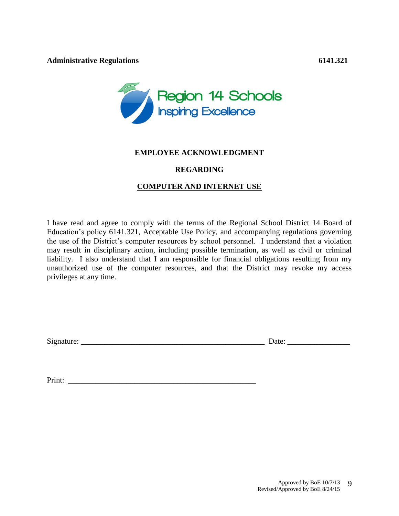

### **EMPLOYEE ACKNOWLEDGMENT**

## **REGARDING**

## **COMPUTER AND INTERNET USE**

I have read and agree to comply with the terms of the Regional School District 14 Board of Education's policy 6141.321, Acceptable Use Policy, and accompanying regulations governing the use of the District's computer resources by school personnel. I understand that a violation may result in disciplinary action, including possible termination, as well as civil or criminal liability. I also understand that I am responsible for financial obligations resulting from my unauthorized use of the computer resources, and that the District may revoke my access privileges at any time.

Signature:  $\Box$ 

Print: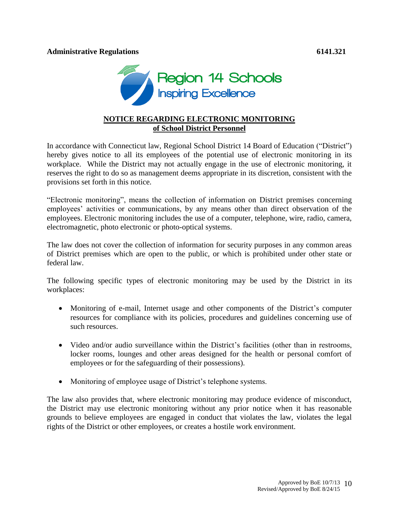

# **NOTICE REGARDING ELECTRONIC MONITORING of School District Personnel**

In accordance with Connecticut law, Regional School District 14 Board of Education ("District") hereby gives notice to all its employees of the potential use of electronic monitoring in its workplace. While the District may not actually engage in the use of electronic monitoring, it reserves the right to do so as management deems appropriate in its discretion, consistent with the provisions set forth in this notice.

"Electronic monitoring", means the collection of information on District premises concerning employees' activities or communications, by any means other than direct observation of the employees. Electronic monitoring includes the use of a computer, telephone, wire, radio, camera, electromagnetic, photo electronic or photo-optical systems.

The law does not cover the collection of information for security purposes in any common areas of District premises which are open to the public, or which is prohibited under other state or federal law.

The following specific types of electronic monitoring may be used by the District in its workplaces:

- Monitoring of e-mail, Internet usage and other components of the District's computer resources for compliance with its policies, procedures and guidelines concerning use of such resources.
- Video and/or audio surveillance within the District's facilities (other than in restrooms, locker rooms, lounges and other areas designed for the health or personal comfort of employees or for the safeguarding of their possessions).
- Monitoring of employee usage of District's telephone systems.

The law also provides that, where electronic monitoring may produce evidence of misconduct, the District may use electronic monitoring without any prior notice when it has reasonable grounds to believe employees are engaged in conduct that violates the law, violates the legal rights of the District or other employees, or creates a hostile work environment.